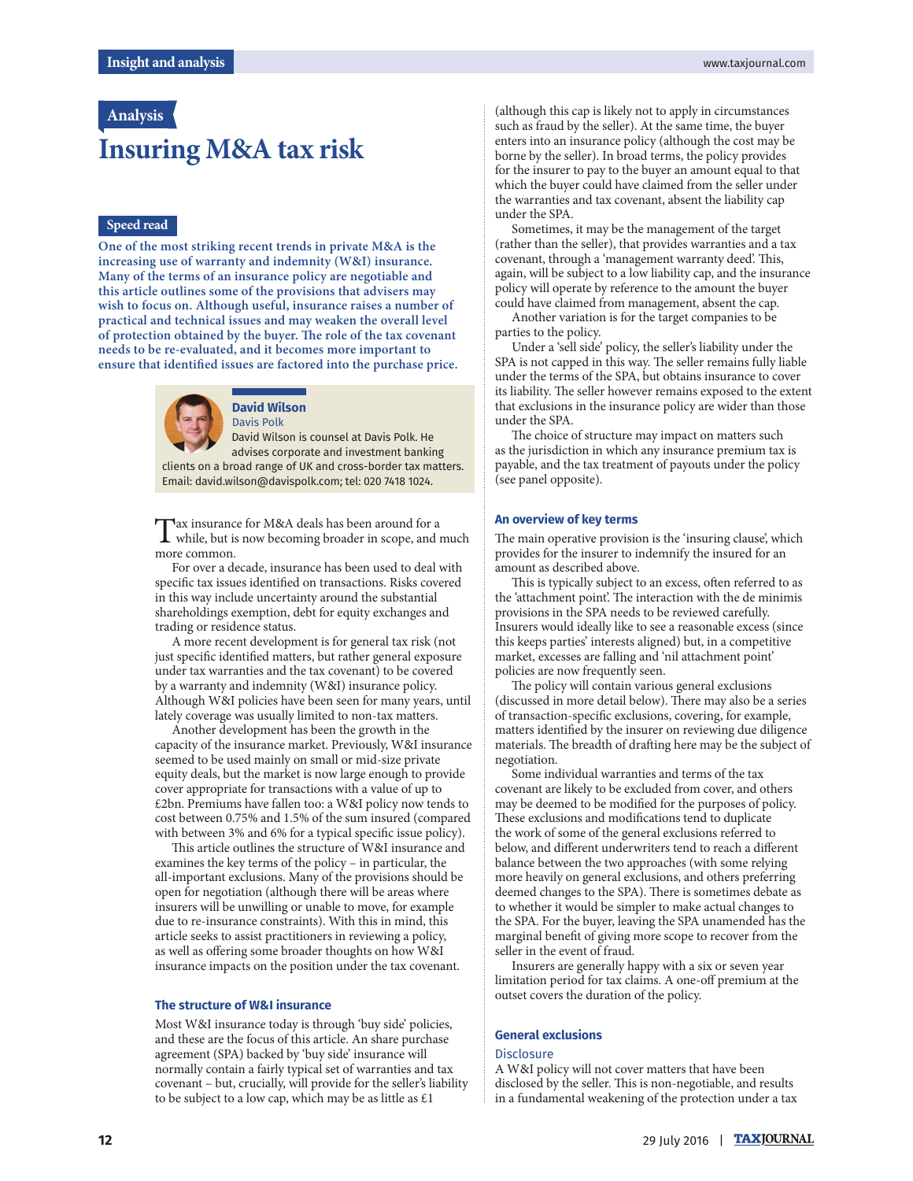## **Analysis**

# **Insuring M&A tax risk**

#### **Speed read**

**One of the most striking recent trends in private M&A is the increasing use of warranty and indemnity (W&I) insurance. Many of the terms of an insurance policy are negotiable and this article outlines some of the provisions that advisers may wish to focus on. Although useful, insurance raises a number of practical and technical issues and may weaken the overall level**  of protection obtained by the buyer. The role of the tax covenant **needs to be re-evaluated, and it becomes more important to**  ensure that identified issues are factored into the purchase price.



# **David Wilson**

Davis Polk David Wilson is counsel at Davis Polk. He advises corporate and investment banking clients on a broad range of UK and cross-border tax matters. Email: david.wilson@davispolk.com; tel: 020 7418 1024.

Tax insurance for M&A deals has been around for a<br>while, but is now becoming broader in scope, and much ax insurance for M&A deals has been around for a more common.

For over a decade, insurance has been used to deal with specific tax issues identified on transactions. Risks covered in this way include uncertainty around the substantial shareholdings exemption, debt for equity exchanges and trading or residence status.

A more recent development is for general tax risk (not just specific identified matters, but rather general exposure under tax warranties and the tax covenant) to be covered by a warranty and indemnity (W&I) insurance policy. Although W&I policies have been seen for many years, until lately coverage was usually limited to non-tax matters.

Another development has been the growth in the capacity of the insurance market. Previously, W&I insurance seemed to be used mainly on small or mid-size private equity deals, but the market is now large enough to provide cover appropriate for transactions with a value of up to £2bn. Premiums have fallen too: a W&I policy now tends to cost between 0.75% and 1.5% of the sum insured (compared with between 3% and 6% for a typical specific issue policy).

This article outlines the structure of W&I insurance and examines the key terms of the policy – in particular, the all-important exclusions. Many of the provisions should be open for negotiation (although there will be areas where insurers will be unwilling or unable to move, for example due to re-insurance constraints). With this in mind, this article seeks to assist practitioners in reviewing a policy, as well as offering some broader thoughts on how W&I insurance impacts on the position under the tax covenant.

#### **The structure of W&I insurance**

Most W&I insurance today is through 'buy side' policies, and these are the focus of this article. An share purchase agreement (SPA) backed by 'buy side' insurance will normally contain a fairly typical set of warranties and tax covenant – but, crucially, will provide for the seller's liability to be subject to a low cap, which may be as little as  $£1$ 

(although this cap is likely not to apply in circumstances such as fraud by the seller). At the same time, the buyer enters into an insurance policy (although the cost may be borne by the seller). In broad terms, the policy provides for the insurer to pay to the buyer an amount equal to that which the buyer could have claimed from the seller under the warranties and tax covenant, absent the liability cap under the SPA.

Sometimes, it may be the management of the target (rather than the seller), that provides warranties and a tax covenant, through a 'management warranty deed'. This, again, will be subject to a low liability cap, and the insurance policy will operate by reference to the amount the buyer could have claimed from management, absent the cap.

Another variation is for the target companies to be parties to the policy.

Under a 'sell side' policy, the seller's liability under the SPA is not capped in this way. The seller remains fully liable under the terms of the SPA, but obtains insurance to cover its liability. The seller however remains exposed to the extent that exclusions in the insurance policy are wider than those under the SPA.

The choice of structure may impact on matters such as the jurisdiction in which any insurance premium tax is payable, and the tax treatment of payouts under the policy (see panel opposite).

#### **An overview of key terms**

The main operative provision is the 'insuring clause', which provides for the insurer to indemnify the insured for an amount as described above.

This is typically subject to an excess, often referred to as the 'attachment point'. The interaction with the de minimis provisions in the SPA needs to be reviewed carefully. Insurers would ideally like to see a reasonable excess (since this keeps parties' interests aligned) but, in a competitive market, excesses are falling and 'nil attachment point' policies are now frequently seen.

The policy will contain various general exclusions (discussed in more detail below). There may also be a series of transaction-specific exclusions, covering, for example, matters identified by the insurer on reviewing due diligence materials. The breadth of drafting here may be the subject of negotiation.

Some individual warranties and terms of the tax covenant are likely to be excluded from cover, and others may be deemed to be modified for the purposes of policy. These exclusions and modifications tend to duplicate the work of some of the general exclusions referred to below, and different underwriters tend to reach a different balance between the two approaches (with some relying more heavily on general exclusions, and others preferring deemed changes to the SPA). There is sometimes debate as to whether it would be simpler to make actual changes to the SPA. For the buyer, leaving the SPA unamended has the marginal benefit of giving more scope to recover from the seller in the event of fraud.

Insurers are generally happy with a six or seven year limitation period for tax claims. A one-off premium at the outset covers the duration of the policy.

#### **General exclusions**

#### **Disclosure**

A W&I policy will not cover matters that have been disclosed by the seller. This is non-negotiable, and results in a fundamental weakening of the protection under a tax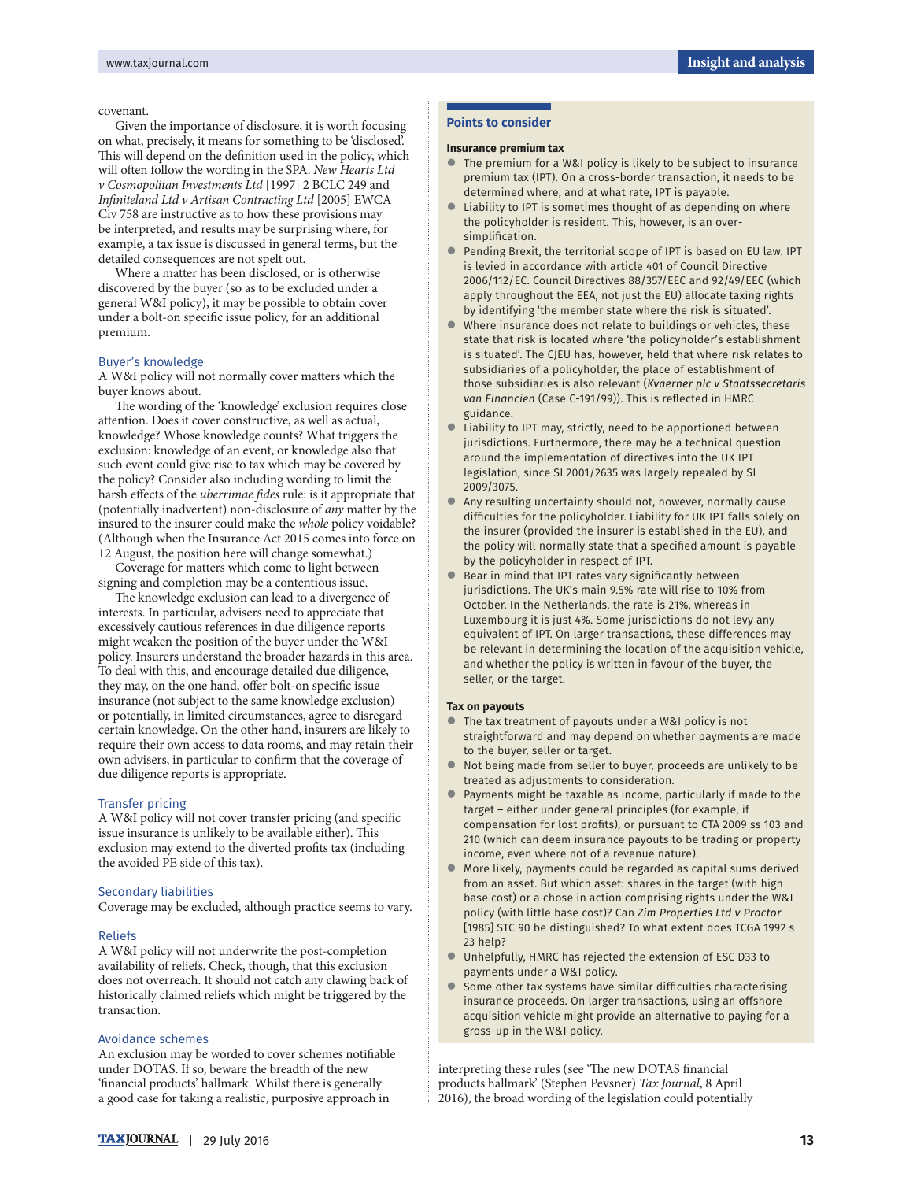#### covenant.

Given the importance of disclosure, it is worth focusing on what, precisely, it means for something to be 'disclosed'. This will depend on the definition used in the policy, which will often follow the wording in the SPA. New Hearts Ltd v Cosmopolitan Investments Ltd [1997] 2 BCLC 249 and Infiniteland Ltd v Artisan Contracting Ltd [2005] EWCA Civ 758 are instructive as to how these provisions may be interpreted, and results may be surprising where, for example, a tax issue is discussed in general terms, but the detailed consequences are not spelt out.

Where a matter has been disclosed, or is otherwise discovered by the buyer (so as to be excluded under a general W&I policy), it may be possible to obtain cover under a bolt-on specific issue policy, for an additional premium.

#### Buyer's knowledge

A W&I policy will not normally cover matters which the buyer knows about.

The wording of the 'knowledge' exclusion requires close attention. Does it cover constructive, as well as actual, knowledge? Whose knowledge counts? What triggers the exclusion: knowledge of an event, or knowledge also that such event could give rise to tax which may be covered by the policy? Consider also including wording to limit the harsh effects of the *uberrimae fides* rule: is it appropriate that (potentially inadvertent) non-disclosure of any matter by the insured to the insurer could make the whole policy voidable? (Although when the Insurance Act 2015 comes into force on 12 August, the position here will change somewhat.)

Coverage for matters which come to light between signing and completion may be a contentious issue.

The knowledge exclusion can lead to a divergence of interests. In particular, advisers need to appreciate that excessively cautious references in due diligence reports might weaken the position of the buyer under the W&I policy. Insurers understand the broader hazards in this area. To deal with this, and encourage detailed due diligence, they may, on the one hand, offer bolt-on specific issue insurance (not subject to the same knowledge exclusion) or potentially, in limited circumstances, agree to disregard certain knowledge. On the other hand, insurers are likely to require their own access to data rooms, and may retain their own advisers, in particular to confirm that the coverage of due diligence reports is appropriate.

#### Transfer pricing

A W&I policy will not cover transfer pricing (and specific issue insurance is unlikely to be available either). This exclusion may extend to the diverted profits tax (including the avoided PE side of this tax).

#### Secondary liabilities

Coverage may be excluded, although practice seems to vary.

#### Reliefs

A W&I policy will not underwrite the post-completion availability of reliefs. Check, though, that this exclusion does not overreach. It should not catch any clawing back of historically claimed reliefs which might be triggered by the transaction.

#### Avoidance schemes

An exclusion may be worded to cover schemes notifiable under DOTAS. If so, beware the breadth of the new 'financial products' hallmark. Whilst there is generally a good case for taking a realistic, purposive approach in

#### **Points to consider**

#### **Insurance premium tax**

- The premium for a W&I policy is likely to be subject to insurance premium tax (IPT). On a cross-border transaction, it needs to be determined where, and at what rate, IPT is payable.
- Liability to IPT is sometimes thought of as depending on where the policyholder is resident. This, however, is an oversimplification.
- Pending Brexit, the territorial scope of IPT is based on EU law. IPT is levied in accordance with article 401 of Council Directive 2006/112/EC. Council Directives 88/357/EEC and 92/49/EEC (which apply throughout the EEA, not just the EU) allocate taxing rights by identifying 'the member state where the risk is situated'.
- Where insurance does not relate to buildings or vehicles, these state that risk is located where 'the policyholder's establishment is situated'. The CJEU has, however, held that where risk relates to subsidiaries of a policyholder, the place of establishment of those subsidiaries is also relevant (*Kvaerner plc v Staatssecretaris van Financien* (Case C-191/99)). This is reflected in HMRC guidance.
- Liability to IPT may, strictly, need to be apportioned between jurisdictions. Furthermore, there may be a technical question around the implementation of directives into the UK IPT legislation, since SI 2001/2635 was largely repealed by SI 2009/3075.
- Any resulting uncertainty should not, however, normally cause difficulties for the policyholder. Liability for UK IPT falls solely on the insurer (provided the insurer is established in the EU), and the policy will normally state that a specified amount is payable by the policyholder in respect of IPT.
- Bear in mind that IPT rates vary significantly between jurisdictions. The UK's main 9.5% rate will rise to 10% from October. In the Netherlands, the rate is 21%, whereas in Luxembourg it is just 4%. Some jurisdictions do not levy any equivalent of IPT. On larger transactions, these differences may be relevant in determining the location of the acquisition vehicle, and whether the policy is written in favour of the buyer, the seller, or the target.

#### **Tax on payouts**

- The tax treatment of payouts under a W&I policy is not straightforward and may depend on whether payments are made to the buyer, seller or target.
- Not being made from seller to buyer, proceeds are unlikely to be treated as adjustments to consideration.
- Payments might be taxable as income, particularly if made to the target – either under general principles (for example, if compensation for lost profits), or pursuant to CTA 2009 ss 103 and 210 (which can deem insurance payouts to be trading or property income, even where not of a revenue nature).
- More likely, payments could be regarded as capital sums derived from an asset. But which asset: shares in the target (with high base cost) or a chose in action comprising rights under the W&I policy (with little base cost)? Can *Zim Properties Ltd v Proctor*  [1985] STC 90 be distinguished? To what extent does TCGA 1992 s 23 help?
- Unhelpfully, HMRC has rejected the extension of ESC D33 to payments under a W&I policy.
- Some other tax systems have similar difficulties characterising insurance proceeds. On larger transactions, using an offshore acquisition vehicle might provide an alternative to paying for a gross-up in the W&I policy.

interpreting these rules (see 'The new DOTAS financial products hallmark' (Stephen Pevsner) Tax Journal, 8 April 2016), the broad wording of the legislation could potentially